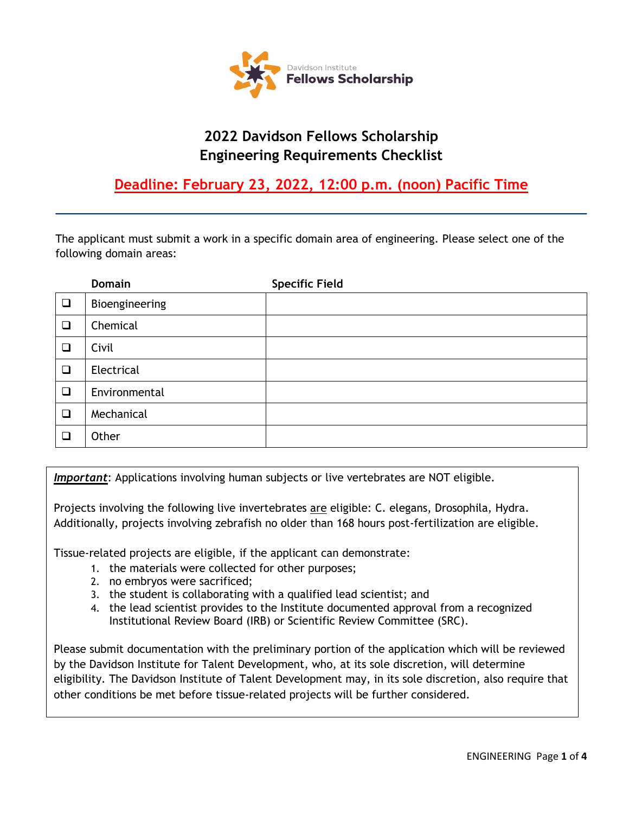

# **2022 Davidson Fellows Scholarship Engineering Requirements Checklist**

## **Deadline: February 23, 2022, 12:00 p.m. (noon) Pacific Time**

The applicant must submit a work in a specific domain area of engineering. Please select one of the following domain areas:

|        | <b>Domain</b>  | <b>Specific Field</b> |
|--------|----------------|-----------------------|
| $\Box$ | Bioengineering |                       |
| $\Box$ | Chemical       |                       |
| ❏      | Civil          |                       |
| $\Box$ | Electrical     |                       |
| $\Box$ | Environmental  |                       |
| $\Box$ | Mechanical     |                       |
| ❏      | Other          |                       |

*Important*: Applications involving human subjects or live vertebrates are NOT eligible.

Projects involving the following live invertebrates are eligible: C. elegans, Drosophila, Hydra. Additionally, projects involving zebrafish no older than 168 hours post-fertilization are eligible.

Tissue-related projects are eligible, if the applicant can demonstrate:

- 1. the materials were collected for other purposes;
- 2. no embryos were sacrificed;
- 3. the student is collaborating with a qualified lead scientist; and
- 4. the lead scientist provides to the Institute documented approval from a recognized Institutional Review Board (IRB) or Scientific Review Committee (SRC).

Please submit documentation with the preliminary portion of the application which will be reviewed by the Davidson Institute for Talent Development, who, at its sole discretion, will determine eligibility. The Davidson Institute of Talent Development may, in its sole discretion, also require that other conditions be met before tissue-related projects will be further considered.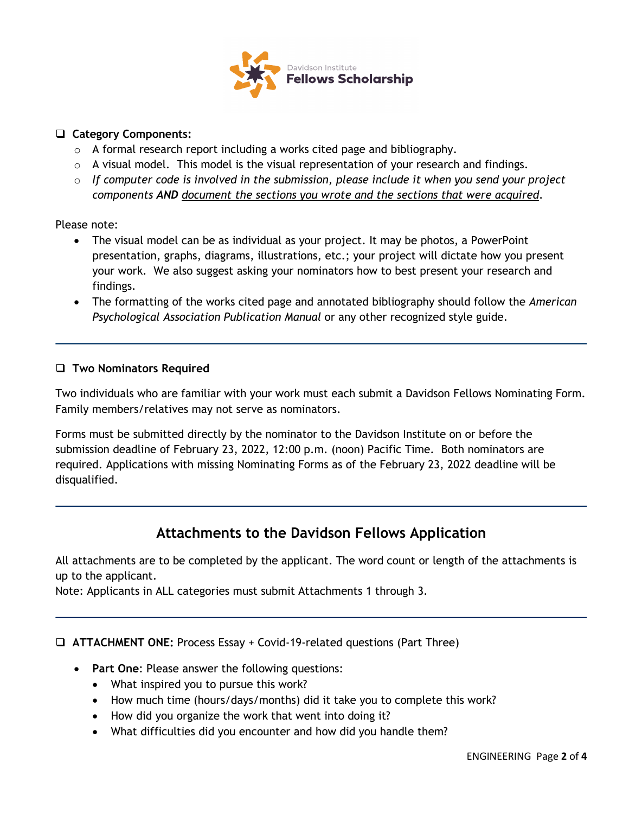

#### **Category Components:**

- $\circ$  A formal research report including a works cited page and bibliography.
- $\circ$  A visual model. This model is the visual representation of your research and findings.
- o *If computer code is involved in the submission, please include it when you send your project components AND document the sections you wrote and the sections that were acquired*.

Please note:

- The visual model can be as individual as your project. It may be photos, a PowerPoint presentation, graphs, diagrams, illustrations, etc.; your project will dictate how you present your work. We also suggest asking your nominators how to best present your research and findings.
- The formatting of the works cited page and annotated bibliography should follow the *American Psychological Association Publication Manual* or any other recognized style guide.

#### **Two Nominators Required**

Two individuals who are familiar with your work must each submit a Davidson Fellows Nominating Form. Family members/relatives may not serve as nominators.

Forms must be submitted directly by the nominator to the Davidson Institute on or before the submission deadline of February 23, 2022, 12:00 p.m. (noon) Pacific Time. Both nominators are required. Applications with missing Nominating Forms as of the February 23, 2022 deadline will be disqualified.

### **Attachments to the Davidson Fellows Application**

All attachments are to be completed by the applicant. The word count or length of the attachments is up to the applicant.

Note: Applicants in ALL categories must submit Attachments 1 through 3.

**ATTACHMENT ONE:** Process Essay + Covid-19-related questions (Part Three)

- **Part One**: Please answer the following questions:
	- What inspired you to pursue this work?
	- How much time (hours/days/months) did it take you to complete this work?
	- How did you organize the work that went into doing it?
	- What difficulties did you encounter and how did you handle them?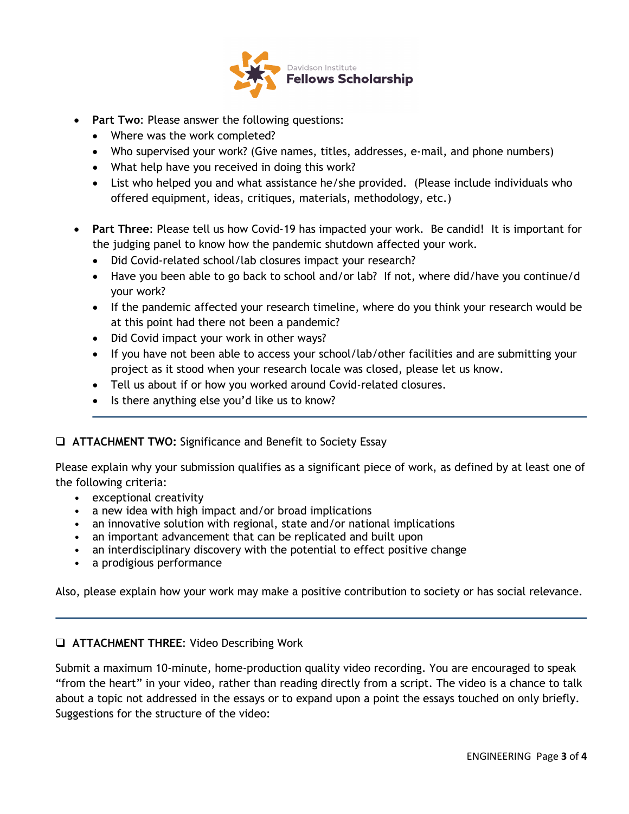

- **Part Two**: Please answer the following questions:
	- Where was the work completed?
	- Who supervised your work? (Give names, titles, addresses, e-mail, and phone numbers)
	- What help have you received in doing this work?
	- List who helped you and what assistance he/she provided. (Please include individuals who offered equipment, ideas, critiques, materials, methodology, etc.)
- **Part Three**: Please tell us how Covid-19 has impacted your work. Be candid! It is important for the judging panel to know how the pandemic shutdown affected your work.
	- Did Covid-related school/lab closures impact your research?
	- Have you been able to go back to school and/or lab? If not, where did/have you continue/d your work?
	- If the pandemic affected your research timeline, where do you think your research would be at this point had there not been a pandemic?
	- Did Covid impact your work in other ways?
	- If you have not been able to access your school/lab/other facilities and are submitting your project as it stood when your research locale was closed, please let us know.
	- Tell us about if or how you worked around Covid-related closures.
	- Is there anything else you'd like us to know?

#### **ATTACHMENT TWO:** Significance and Benefit to Society Essay

Please explain why your submission qualifies as a significant piece of work, as defined by at least one of the following criteria:

- exceptional creativity
- a new idea with high impact and/or broad implications
- an innovative solution with regional, state and/or national implications
- an important advancement that can be replicated and built upon
- an interdisciplinary discovery with the potential to effect positive change
- a prodigious performance

Also, please explain how your work may make a positive contribution to society or has social relevance.

#### **ATTACHMENT THREE**: Video Describing Work

Submit a maximum 10-minute, home-production quality video recording. You are encouraged to speak "from the heart" in your video, rather than reading directly from a script. The video is a chance to talk about a topic not addressed in the essays or to expand upon a point the essays touched on only briefly. Suggestions for the structure of the video: